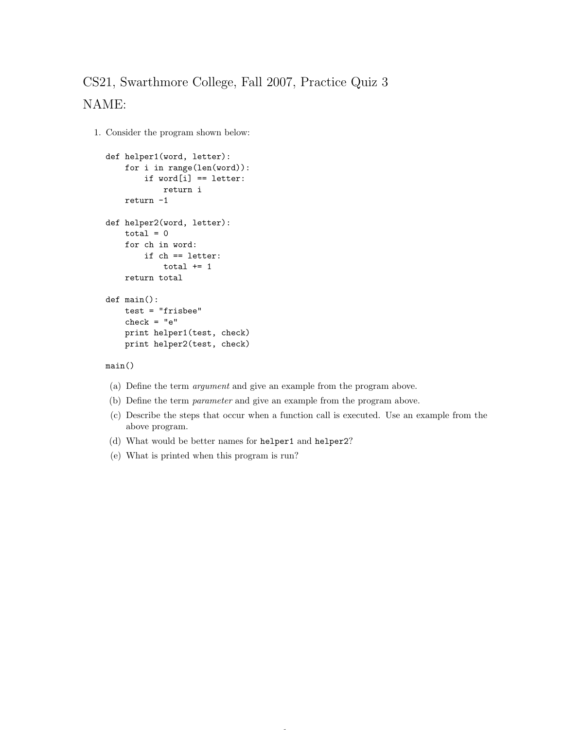## CS21, Swarthmore College, Fall 2007, Practice Quiz 3 NAME:

1. Consider the program shown below:

```
def helper1(word, letter):
    for i in range(len(word)):
        if word[i] == letter:
            return i
    return -1
def helper2(word, letter):
    total = 0for ch in word:
        if ch == letter:
            total += 1return total
def main():
    test = "frisbee"
    check = "e"
    print helper1(test, check)
    print helper2(test, check)
```
main()

- (a) Define the term argument and give an example from the program above.
- (b) Define the term parameter and give an example from the program above.
- (c) Describe the steps that occur when a function call is executed. Use an example from the above program.

1

- (d) What would be better names for helper1 and helper2?
- (e) What is printed when this program is run?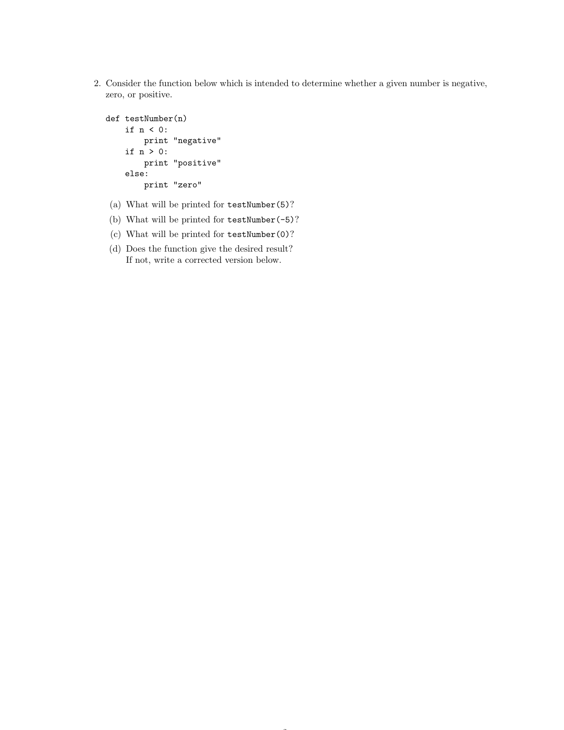2. Consider the function below which is intended to determine whether a given number is negative, zero, or positive.

 $\sim$ 

```
def testNumber(n)
    if n < 0:
        print "negative"
    if n > 0:
        print "positive"
    else:
        print "zero"
```
- (a) What will be printed for testNumber(5)?
- (b) What will be printed for testNumber(-5)?
- (c) What will be printed for testNumber(0)?
- (d) Does the function give the desired result? If not, write a corrected version below.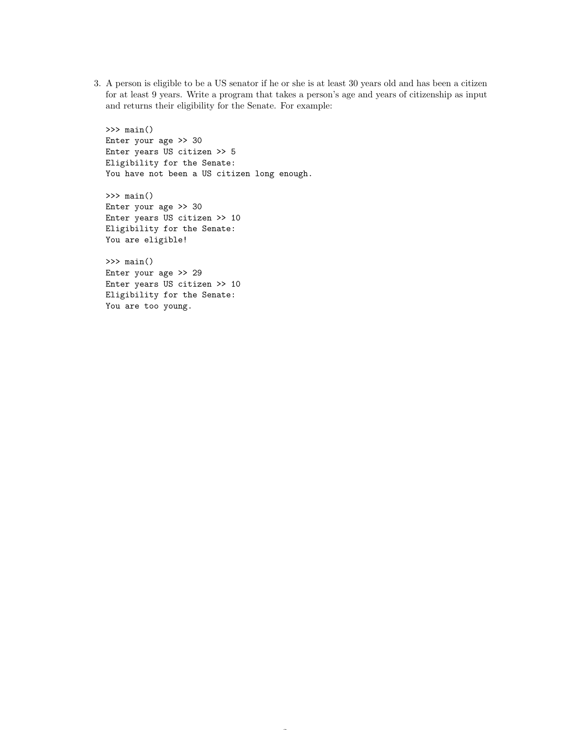3. A person is eligible to be a US senator if he or she is at least 30 years old and has been a citizen for at least 9 years. Write a program that takes a person's age and years of citizenship as input and returns their eligibility for the Senate. For example:

 $\sim$ 

>>> main() Enter your age >> 30 Enter years US citizen >> 5 Eligibility for the Senate: You have not been a US citizen long enough.

>>> main() Enter your age >> 30 Enter years US citizen >> 10 Eligibility for the Senate: You are eligible!

>>> main() Enter your age >> 29 Enter years US citizen >> 10 Eligibility for the Senate: You are too young.